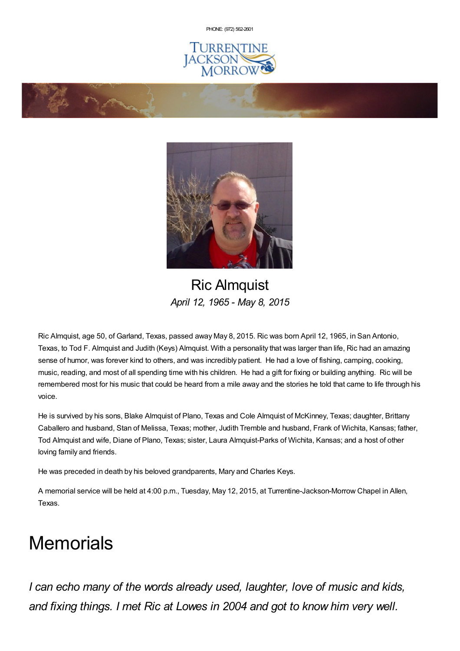PHONE: (972) [562-2601](tel:(972) 562-2601)







Ric Almquist *April 12, 1965 - May 8, 2015*

Ric Almquist, age 50, of Garland, Texas, passed away May 8, 2015. Ric was born April 12, 1965, in San Antonio, Texas, to Tod F. Almquist and Judith (Keys) Almquist. With a personality that was larger than life, Ric had an amazing sense of humor, was forever kind to others, and was incredibly patient. He had a love of fishing, camping, cooking, music, reading, and most of all spending time with his children. He had a gift for fixing or building anything. Ric will be remembered most for his music that could be heard from a mile away and the stories he told that came to life through his voice.

He is survived by his sons, Blake Almquist of Plano, Texas and Cole Almquist of McKinney, Texas; daughter, Brittany Caballero and husband, Stan of Melissa, Texas; mother, Judith Tremble and husband, Frank of Wichita, Kansas; father, Tod Almquist and wife, Diane of Plano, Texas; sister, Laura Almquist-Parks of Wichita, Kansas; and a host of other loving family and friends.

He was preceded in death by his beloved grandparents, Mary and Charles Keys.

A memorial service will be held at 4:00 p.m., Tuesday, May 12, 2015, at Turrentine-Jackson-Morrow Chapel in Allen, Texas.

## **Memorials**

*I can echo many of the words already used, laughter, love of music and kids, and fixing things. I met Ric at Lowes in 2004 and got to know him very well.*